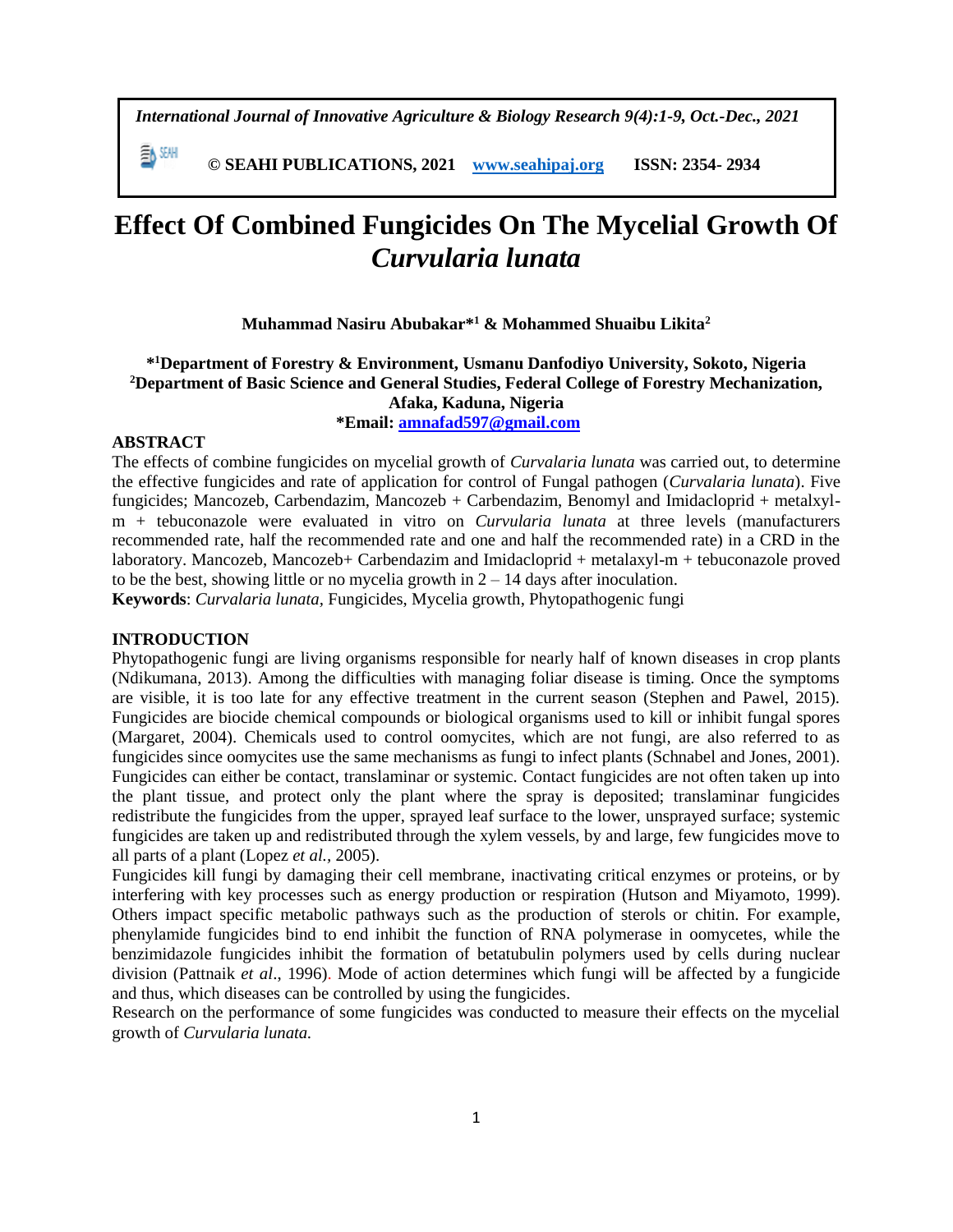*International Journal of Innovative Agriculture & Biology Research 9(4):1-9, Oct.-Dec., 2021*

 **© SEAHI PUBLICATIONS, 2021 [www.seahipaj.org](http://www.seahipaj.org/) ISSN: 2354- 2934**

# **Effect Of Combined Fungicides On The Mycelial Growth Of**  *Curvularia lunata*

# **Muhammad Nasiru Abubakar\* <sup>1</sup> & Mohammed Shuaibu Likita<sup>2</sup>**

# **\* <sup>1</sup>Department of Forestry & Environment, Usmanu Danfodiyo University, Sokoto, Nigeria <sup>2</sup>Department of Basic Science and General Studies, Federal College of Forestry Mechanization, Afaka, Kaduna, Nigeria \*Email: [amnafad597@gmail.com](mailto:amnafad597@gmail.com)**

# **ABSTRACT**

EA SEMI

The effects of combine fungicides on mycelial growth of *Curvalaria lunata* was carried out, to determine the effective fungicides and rate of application for control of Fungal pathogen (*Curvalaria lunata*). Five fungicides; Mancozeb, Carbendazim, Mancozeb + Carbendazim, Benomyl and Imidacloprid + metalxylm + tebuconazole were evaluated in vitro on *Curvularia lunata* at three levels (manufacturers recommended rate, half the recommended rate and one and half the recommended rate) in a CRD in the laboratory. Mancozeb, Mancozeb+ Carbendazim and Imidacloprid + metalaxyl-m + tebuconazole proved to be the best, showing little or no mycelia growth in  $2 - 14$  days after inoculation.

**Keywords**: *Curvalaria lunata,* Fungicides, Mycelia growth, Phytopathogenic fungi

#### **INTRODUCTION**

Phytopathogenic fungi are living organisms responsible for nearly half of known diseases in crop plants (Ndikumana, 2013). Among the difficulties with managing foliar disease is timing. Once the symptoms are visible, it is too late for any effective treatment in the current season (Stephen and Pawel, 2015). Fungicides are biocide chemical compounds or biological organisms used to kill or inhibit fungal spores (Margaret, 2004). Chemicals used to control oomycites, which are not fungi, are also referred to as fungicides since oomycites use the same mechanisms as fungi to infect plants (Schnabel and Jones, 2001). Fungicides can either be contact, translaminar or systemic. Contact fungicides are not often taken up into the plant tissue, and protect only the plant where the spray is deposited; translaminar fungicides redistribute the fungicides from the upper, sprayed leaf surface to the lower, unsprayed surface; systemic fungicides are taken up and redistributed through the xylem vessels, by and large, few fungicides move to all parts of a plant (Lopez *et al.,* 2005).

Fungicides kill fungi by damaging their cell membrane, inactivating critical enzymes or proteins, or by interfering with key processes such as energy production or respiration (Hutson and Miyamoto, 1999). Others impact specific metabolic pathways such as the production of sterols or chitin. For example, phenylamide fungicides bind to end inhibit the function of RNA polymerase in oomycetes, while the benzimidazole fungicides inhibit the formation of betatubulin polymers used by cells during nuclear division (Pattnaik *et al*., 1996). Mode of action determines which fungi will be affected by a fungicide and thus, which diseases can be controlled by using the fungicides.

Research on the performance of some fungicides was conducted to measure their effects on the mycelial growth of *Curvularia lunata.*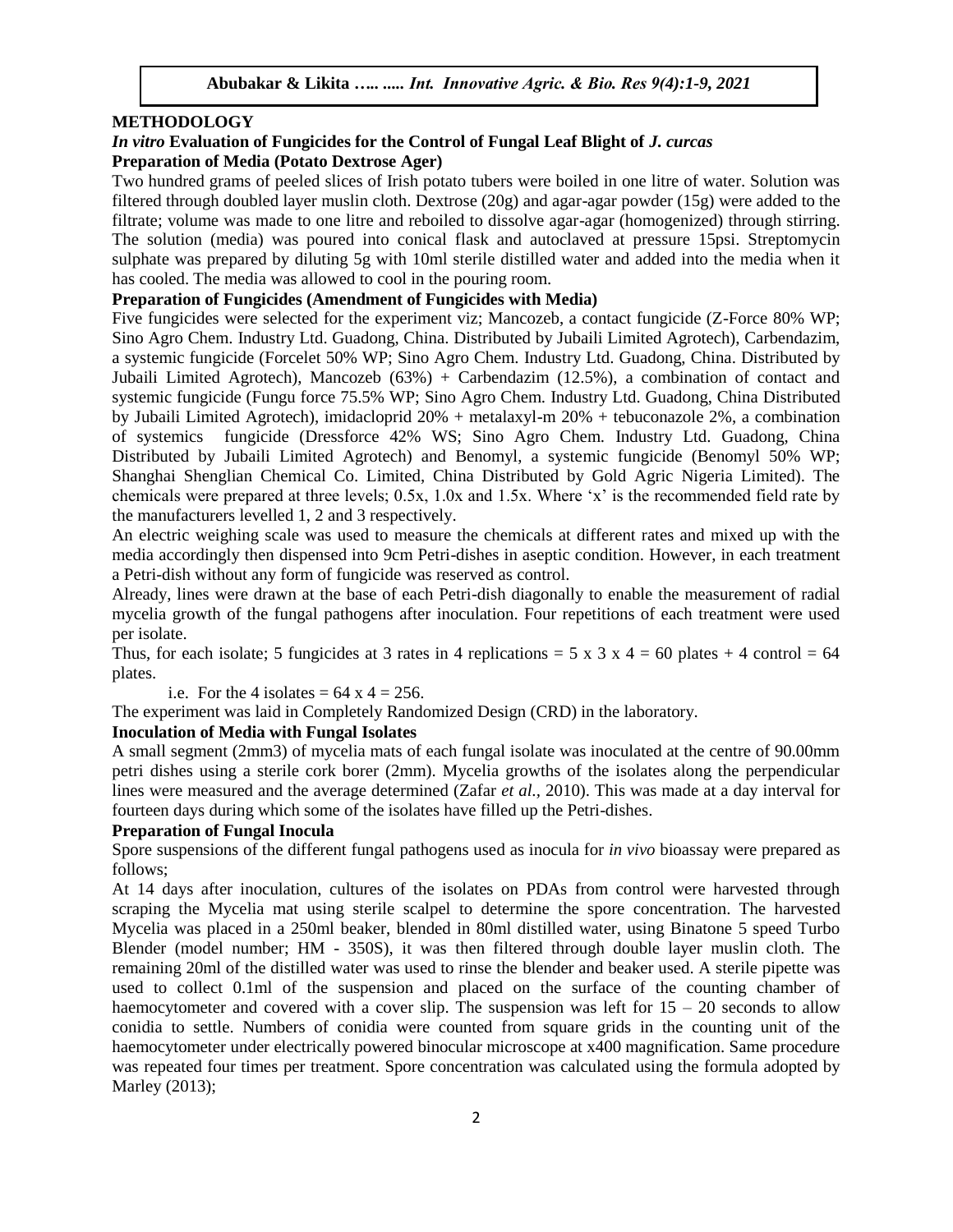#### **METHODOLOGY**

# *In vitro* **Evaluation of Fungicides for the Control of Fungal Leaf Blight of** *J. curcas* **Preparation of Media (Potato Dextrose Ager)**

Two hundred grams of peeled slices of Irish potato tubers were boiled in one litre of water. Solution was filtered through doubled layer muslin cloth. Dextrose (20g) and agar-agar powder (15g) were added to the filtrate; volume was made to one litre and reboiled to dissolve agar-agar (homogenized) through stirring. The solution (media) was poured into conical flask and autoclaved at pressure 15psi. Streptomycin sulphate was prepared by diluting 5g with 10ml sterile distilled water and added into the media when it has cooled. The media was allowed to cool in the pouring room.

### **Preparation of Fungicides (Amendment of Fungicides with Media)**

Five fungicides were selected for the experiment viz; Mancozeb, a contact fungicide (Z-Force 80% WP; Sino Agro Chem. Industry Ltd. Guadong, China. Distributed by Jubaili Limited Agrotech), Carbendazim, a systemic fungicide (Forcelet 50% WP; Sino Agro Chem. Industry Ltd. Guadong, China. Distributed by Jubaili Limited Agrotech), Mancozeb (63%) + Carbendazim (12.5%), a combination of contact and systemic fungicide (Fungu force 75.5% WP; Sino Agro Chem. Industry Ltd. Guadong, China Distributed by Jubaili Limited Agrotech), imidacloprid 20% + metalaxyl-m 20% + tebuconazole 2%, a combination of systemics fungicide (Dressforce 42% WS; Sino Agro Chem. Industry Ltd. Guadong, China Distributed by Jubaili Limited Agrotech) and Benomyl, a systemic fungicide (Benomyl 50% WP; Shanghai Shenglian Chemical Co. Limited, China Distributed by Gold Agric Nigeria Limited). The chemicals were prepared at three levels; 0.5x, 1.0x and 1.5x. Where 'x' is the recommended field rate by the manufacturers levelled 1, 2 and 3 respectively.

An electric weighing scale was used to measure the chemicals at different rates and mixed up with the media accordingly then dispensed into 9cm Petri-dishes in aseptic condition. However, in each treatment a Petri-dish without any form of fungicide was reserved as control.

Already, lines were drawn at the base of each Petri-dish diagonally to enable the measurement of radial mycelia growth of the fungal pathogens after inoculation. Four repetitions of each treatment were used per isolate.

Thus, for each isolate; 5 fungicides at 3 rates in 4 replications = 5 x 3 x 4 = 60 plates + 4 control = 64 plates.

i.e. For the 4 isolates =  $64 \times 4 = 256$ .

The experiment was laid in Completely Randomized Design (CRD) in the laboratory.

#### **Inoculation of Media with Fungal Isolates**

A small segment (2mm3) of mycelia mats of each fungal isolate was inoculated at the centre of 90.00mm petri dishes using a sterile cork borer (2mm). Mycelia growths of the isolates along the perpendicular lines were measured and the average determined (Zafar *et al.,* 2010). This was made at a day interval for fourteen days during which some of the isolates have filled up the Petri-dishes.

#### **Preparation of Fungal Inocula**

Spore suspensions of the different fungal pathogens used as inocula for *in vivo* bioassay were prepared as follows;

At 14 days after inoculation, cultures of the isolates on PDAs from control were harvested through scraping the Mycelia mat using sterile scalpel to determine the spore concentration. The harvested Mycelia was placed in a 250ml beaker, blended in 80ml distilled water, using Binatone 5 speed Turbo Blender (model number; HM - 350S), it was then filtered through double layer muslin cloth. The remaining 20ml of the distilled water was used to rinse the blender and beaker used. A sterile pipette was used to collect 0.1ml of the suspension and placed on the surface of the counting chamber of haemocytometer and covered with a cover slip. The suspension was left for  $15 - 20$  seconds to allow conidia to settle. Numbers of conidia were counted from square grids in the counting unit of the haemocytometer under electrically powered binocular microscope at x400 magnification. Same procedure was repeated four times per treatment. Spore concentration was calculated using the formula adopted by Marley (2013);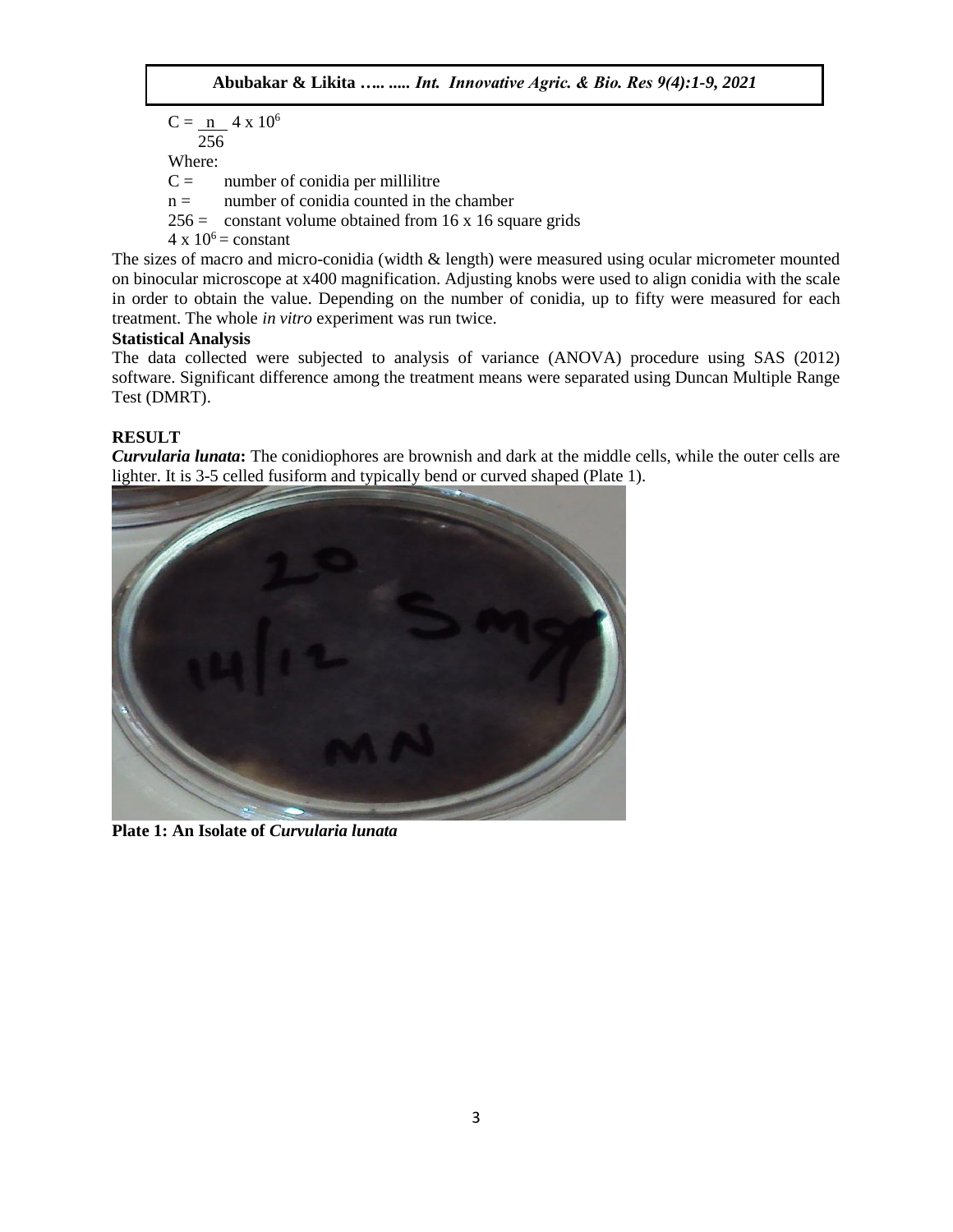$C = n 4 x 10^6$  256 Where:  $C =$  number of conidia per millilitre  $n =$  number of conidia counted in the chamber  $256 =$  constant volume obtained from 16 x 16 square grids  $4 \times 10^6$  = constant

The sizes of macro and micro-conidia (width & length) were measured using ocular micrometer mounted on binocular microscope at x400 magnification. Adjusting knobs were used to align conidia with the scale in order to obtain the value. Depending on the number of conidia, up to fifty were measured for each treatment. The whole *in vitro* experiment was run twice.

# **Statistical Analysis**

The data collected were subjected to analysis of variance (ANOVA) procedure using SAS (2012) software. Significant difference among the treatment means were separated using Duncan Multiple Range Test (DMRT).

# **RESULT**

*Curvularia lunata***:** The conidiophores are brownish and dark at the middle cells, while the outer cells are lighter. It is 3-5 celled fusiform and typically bend or curved shaped (Plate 1).



**Plate 1: An Isolate of** *Curvularia lunata*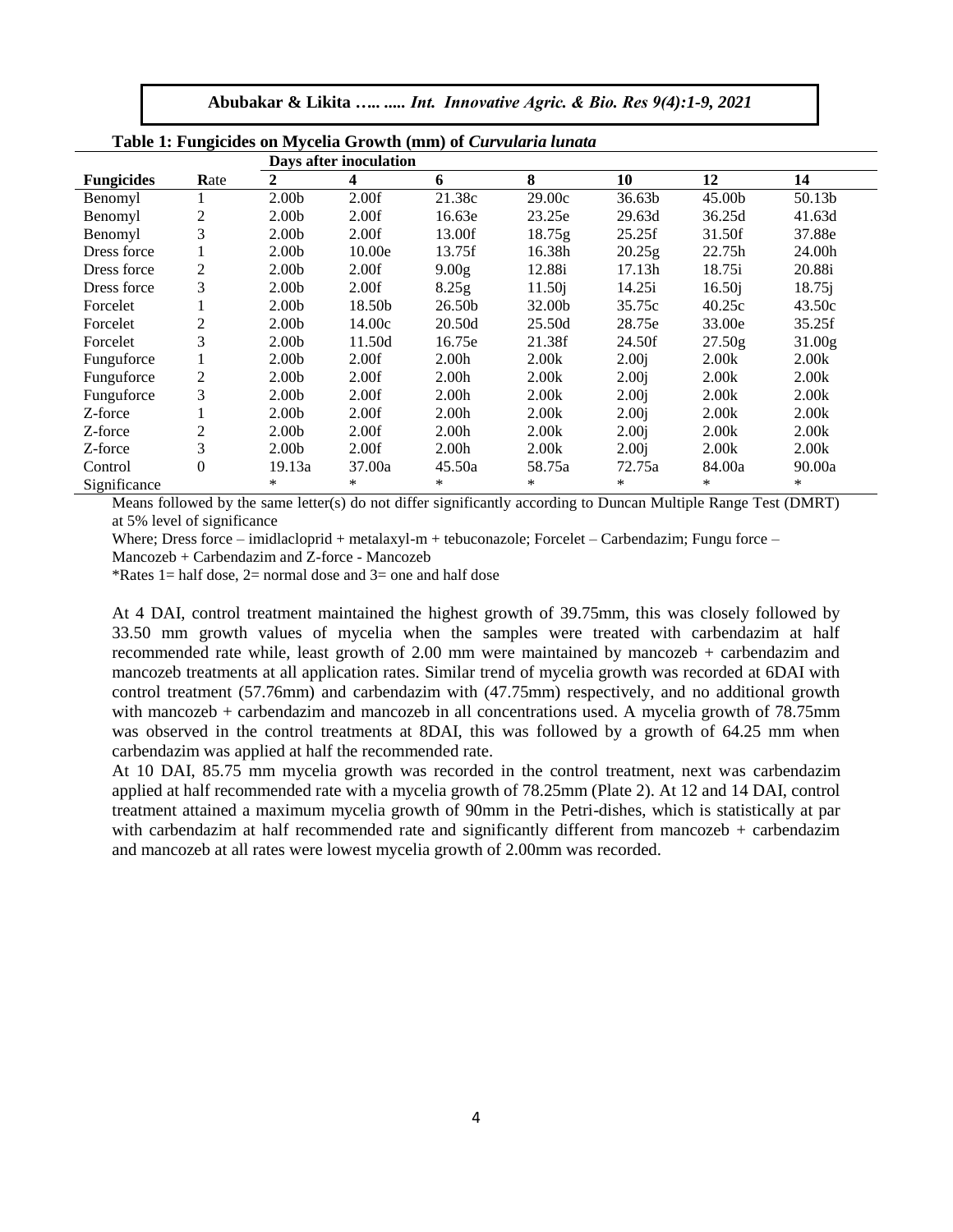**Abubakar & Likita** *….. ..... Int. Innovative Agric. & Bio. Res 9(4):1-9, 2021*

|                   |                |                   | Days after inoculation |                   |                    |                   |        |        |
|-------------------|----------------|-------------------|------------------------|-------------------|--------------------|-------------------|--------|--------|
| <b>Fungicides</b> | Rate           | 2                 | 4                      | 6                 | 8                  | 10                | 12     | 14     |
| Benomyl           |                | 2.00 <sub>b</sub> | 2.00f                  | 21.38c            | 29.00c             | 36.63b            | 45.00b | 50.13b |
| Benomyl           | $\overline{2}$ | 2.00 <sub>b</sub> | 2.00f                  | 16.63e            | 23.25e             | 29.63d            | 36.25d | 41.63d |
| Benomyl           | 3              | 2.00 <sub>b</sub> | 2.00f                  | 13.00f            | 18.75g             | 25.25f            | 31.50f | 37.88e |
| Dress force       |                | 2.00 <sub>b</sub> | 10.00e                 | 13.75f            | 16.38h             | 20.25g            | 22.75h | 24.00h |
| Dress force       | 2              | 2.00 <sub>b</sub> | 2.00f                  | 9.00 <sub>g</sub> | 12.88i             | 17.13h            | 18.75i | 20.88i |
| Dress force       | 3              | 2.00 <sub>b</sub> | 2.00f                  | 8.25g             | 11.50 <sub>i</sub> | 14.25i            | 16.50j | 18.75j |
| Forcelet          |                | 2.00 <sub>b</sub> | 18.50b                 | 26.50b            | 32.00b             | 35.75c            | 40.25c | 43.50c |
| Forcelet          | 2              | 2.00 <sub>b</sub> | 14.00c                 | 20.50d            | 25.50d             | 28.75e            | 33.00e | 35.25f |
| Forcelet          | 3              | 2.00 <sub>b</sub> | 11.50d                 | 16.75e            | 21.38f             | 24.50f            | 27.50g | 31.00g |
| Funguforce        |                | 2.00 <sub>b</sub> | 2.00f                  | 2.00 <sub>h</sub> | 2.00k              | 2.00 <sub>i</sub> | 2.00k  | 2.00k  |
| Funguforce        | 2              | 2.00 <sub>b</sub> | 2.00f                  | 2.00 <sub>h</sub> | 2.00k              | 2.00 <sub>i</sub> | 2.00k  | 2.00k  |
| Funguforce        | 3              | 2.00 <sub>b</sub> | 2.00f                  | 2.00 <sub>h</sub> | 2.00k              | 2.00 <sub>i</sub> | 2.00k  | 2.00k  |
| Z-force           |                | 2.00 <sub>b</sub> | 2.00f                  | 2.00h             | 2.00k              | 2.00 <sub>i</sub> | 2.00k  | 2.00k  |
| Z-force           | $\overline{c}$ | 2.00 <sub>b</sub> | 2.00f                  | 2.00 <sub>h</sub> | 2.00k              | 2.00 <sub>i</sub> | 2.00k  | 2.00k  |
| Z-force           | 3              | 2.00 <sub>b</sub> | 2.00f                  | 2.00 <sub>h</sub> | 2.00k              | 2.00 <sub>i</sub> | 2.00k  | 2.00k  |
| Control           | $\Omega$       | 19.13a            | 37.00a                 | 45.50a            | 58.75a             | 72.75a            | 84.00a | 90.00a |
| Significance      |                | *                 | $\ast$                 | *                 | $\ast$             | ∗                 | *      | $\ast$ |

|  |  |  |  | Table 1: Fungicides on Mycelia Growth (mm) of Curvularia lunata |  |
|--|--|--|--|-----------------------------------------------------------------|--|
|  |  |  |  |                                                                 |  |

Means followed by the same letter(s) do not differ significantly according to Duncan Multiple Range Test (DMRT) at 5% level of significance

Where; Dress force – imidlacloprid + metalaxyl-m + tebuconazole; Forcelet – Carbendazim; Fungu force –

Mancozeb + Carbendazim and Z-force - Mancozeb

\*Rates  $1=$  half dose,  $2=$  normal dose and  $3=$  one and half dose

At 4 DAI, control treatment maintained the highest growth of 39.75mm, this was closely followed by 33.50 mm growth values of mycelia when the samples were treated with carbendazim at half recommended rate while, least growth of 2.00 mm were maintained by mancozeb + carbendazim and mancozeb treatments at all application rates. Similar trend of mycelia growth was recorded at 6DAI with control treatment (57.76mm) and carbendazim with (47.75mm) respectively, and no additional growth with mancozeb + carbendazim and mancozeb in all concentrations used. A mycelia growth of 78.75mm was observed in the control treatments at 8DAI, this was followed by a growth of 64.25 mm when carbendazim was applied at half the recommended rate.

At 10 DAI, 85.75 mm mycelia growth was recorded in the control treatment, next was carbendazim applied at half recommended rate with a mycelia growth of 78.25mm (Plate 2). At 12 and 14 DAI, control treatment attained a maximum mycelia growth of 90mm in the Petri-dishes, which is statistically at par with carbendazim at half recommended rate and significantly different from mancozeb + carbendazim and mancozeb at all rates were lowest mycelia growth of 2.00mm was recorded.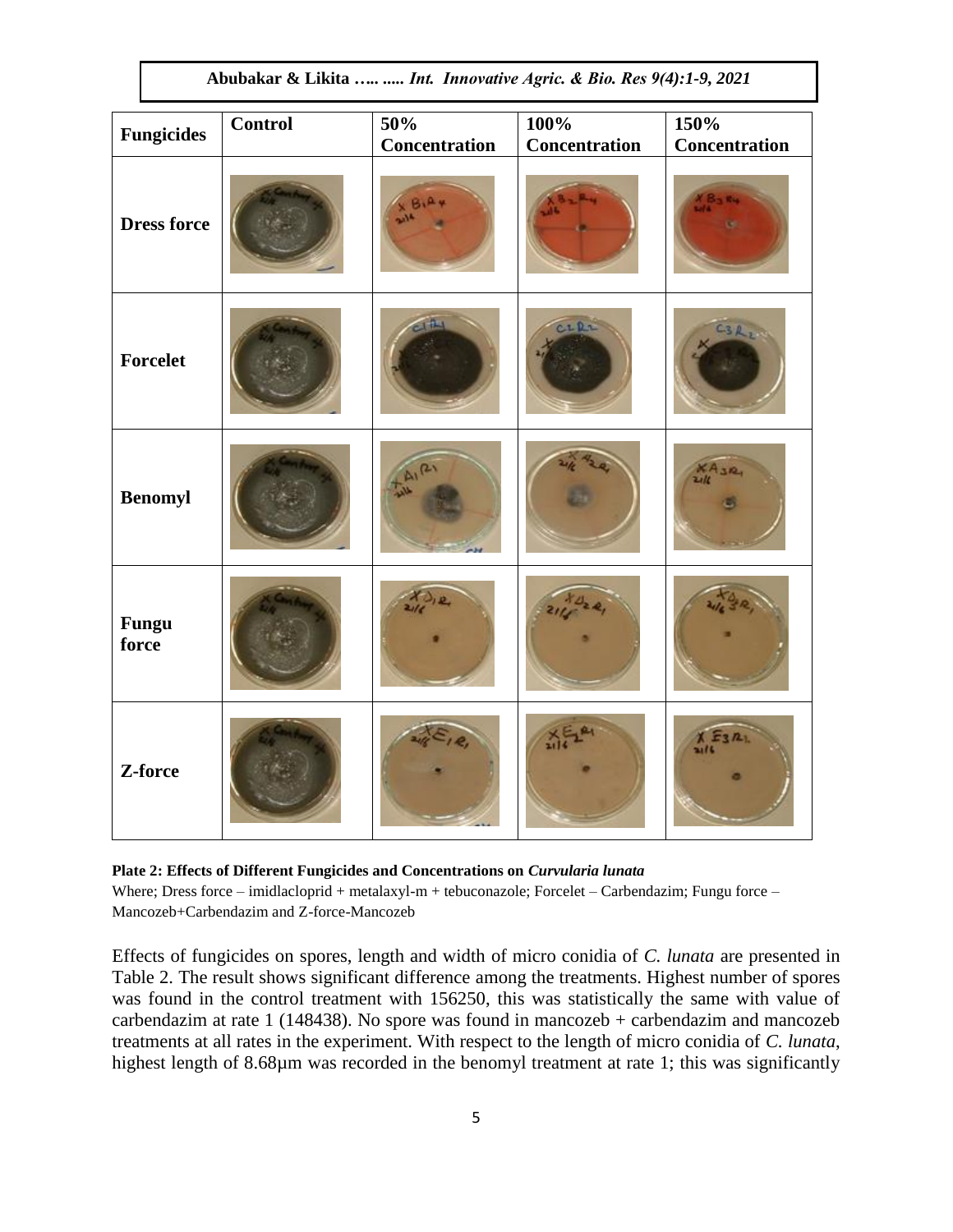|                       |         |                             |                              | $\cdot$ $\cdot$              |
|-----------------------|---------|-----------------------------|------------------------------|------------------------------|
| <b>Fungicides</b>     | Control | 50%<br><b>Concentration</b> | 100%<br><b>Concentration</b> | 150%<br><b>Concentration</b> |
| <b>Dress force</b>    |         |                             |                              |                              |
| Forcelet              |         |                             | CIRL                         |                              |
| <b>Benomyl</b>        |         |                             |                              |                              |
| <b>Fungu</b><br>force |         |                             |                              |                              |
| Z-force               |         |                             |                              | $\mathbf{u}$                 |

**Plate 2: Effects of Different Fungicides and Concentrations on** *Curvularia lunata* Where; Dress force – imidlacloprid + metalaxyl-m + tebuconazole; Forcelet – Carbendazim; Fungu force – Mancozeb+Carbendazim and Z-force-Mancozeb

Effects of fungicides on spores, length and width of micro conidia of *C. lunata* are presented in Table 2. The result shows significant difference among the treatments. Highest number of spores was found in the control treatment with 156250, this was statistically the same with value of carbendazim at rate 1 (148438). No spore was found in mancozeb  $+$  carbendazim and mancozeb treatments at all rates in the experiment. With respect to the length of micro conidia of *C. lunata*, highest length of 8.68µm was recorded in the benomyl treatment at rate 1; this was significantly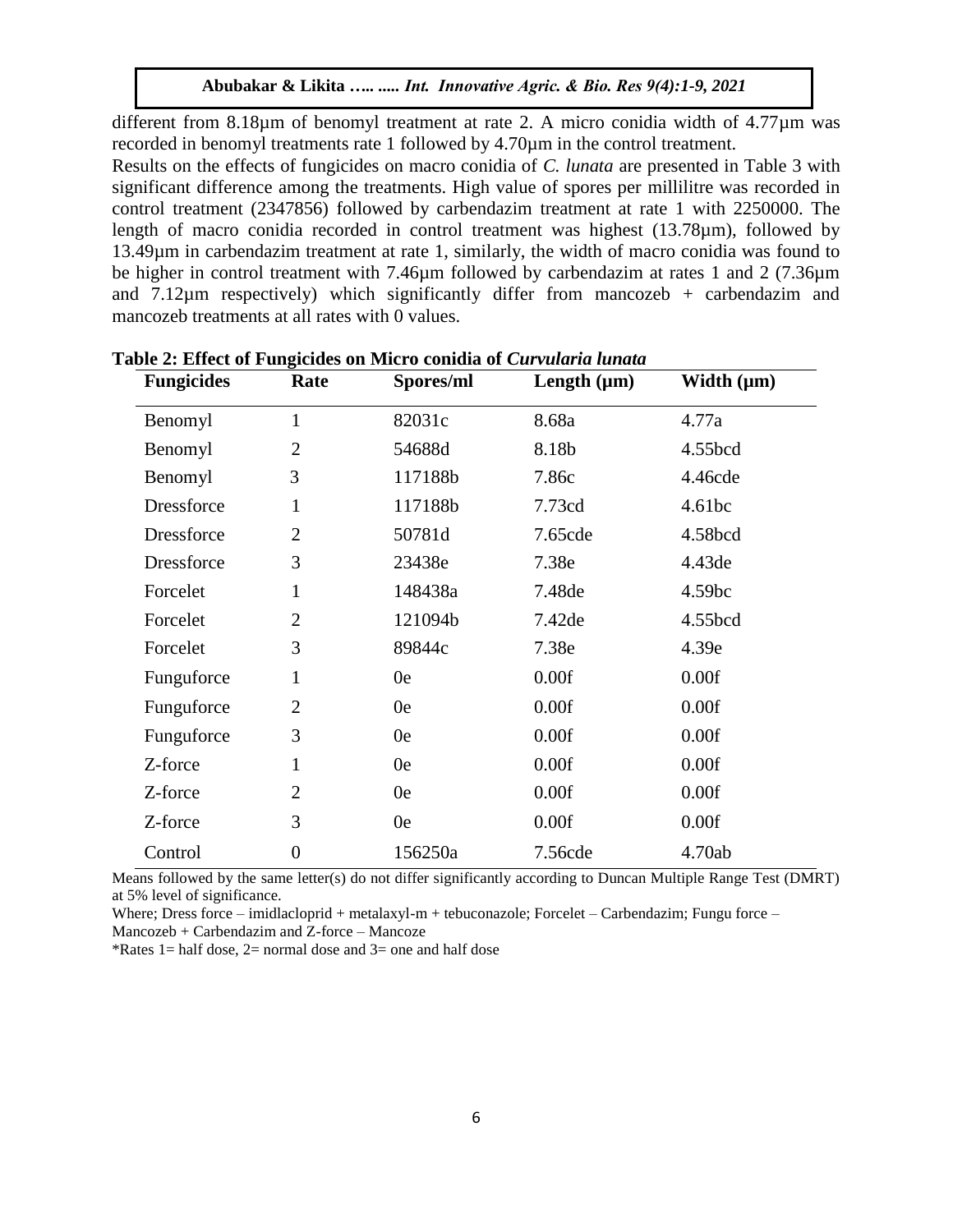different from 8.18µm of benomyl treatment at rate 2. A micro conidia width of 4.77µm was recorded in benomyl treatments rate 1 followed by 4.70µm in the control treatment.

Results on the effects of fungicides on macro conidia of *C. lunata* are presented in Table 3 with significant difference among the treatments. High value of spores per millilitre was recorded in control treatment (2347856) followed by carbendazim treatment at rate 1 with 2250000. The length of macro conidia recorded in control treatment was highest (13.78µm), followed by 13.49µm in carbendazim treatment at rate 1, similarly, the width of macro conidia was found to be higher in control treatment with 7.46µm followed by carbendazim at rates 1 and 2 (7.36µm and  $7.12\mu$ m respectively) which significantly differ from mancozeb + carbendazim and mancozeb treatments at all rates with 0 values.

| $\frac{1}{2}$<br><b>Fungicides</b> | Rate             | refused on finite o confund of CM.<br>Spores/ml | Length $(\mu m)$ | Width $(\mu m)$ |
|------------------------------------|------------------|-------------------------------------------------|------------------|-----------------|
| Benomyl                            | $\mathbf{1}$     | 82031c                                          | 8.68a            | 4.77a           |
| Benomyl                            | $\overline{2}$   | 54688d                                          | 8.18b            | 4.55bcd         |
| Benomyl                            | 3                | 117188b                                         | 7.86c            | 4.46cde         |
| Dressforce                         | $\mathbf{1}$     | 117188b                                         | 7.73cd           | 4.61bc          |
| Dressforce                         | $\overline{2}$   | 50781d                                          | 7.65cde          | 4.58bcd         |
| Dressforce                         | 3                | 23438e                                          | 7.38e            | 4.43de          |
| Forcelet                           | $\mathbf{1}$     | 148438a                                         | 7.48de           | 4.59bc          |
| Forcelet                           | $\overline{2}$   | 121094b                                         | 7.42de           | 4.55bcd         |
| Forcelet                           | 3                | 89844c                                          | 7.38e            | 4.39e           |
| Funguforce                         | $\mathbf{1}$     | 0e                                              | 0.00f            | 0.00f           |
| Funguforce                         | $\overline{2}$   | 0e                                              | 0.00f            | 0.00f           |
| Funguforce                         | 3                | 0e                                              | 0.00f            | 0.00f           |
| Z-force                            | $\mathbf{1}$     | 0e                                              | 0.00f            | 0.00f           |
| Z-force                            | $\overline{2}$   | 0e                                              | 0.00f            | 0.00f           |
| Z-force                            | 3                | 0e                                              | 0.00f            | 0.00f           |
| Control                            | $\boldsymbol{0}$ | 156250a                                         | 7.56cde          | 4.70ab          |

**Table 2: Effect of Fungicides on Micro conidia of** *Curvularia lunata*

Means followed by the same letter(s) do not differ significantly according to Duncan Multiple Range Test (DMRT) at 5% level of significance.

Where; Dress force – imidlacloprid + metalaxyl-m + tebuconazole; Forcelet – Carbendazim; Fungu force – Mancozeb + Carbendazim and Z-force – Mancoze

\*Rates  $1=$  half dose,  $2=$  normal dose and  $3=$  one and half dose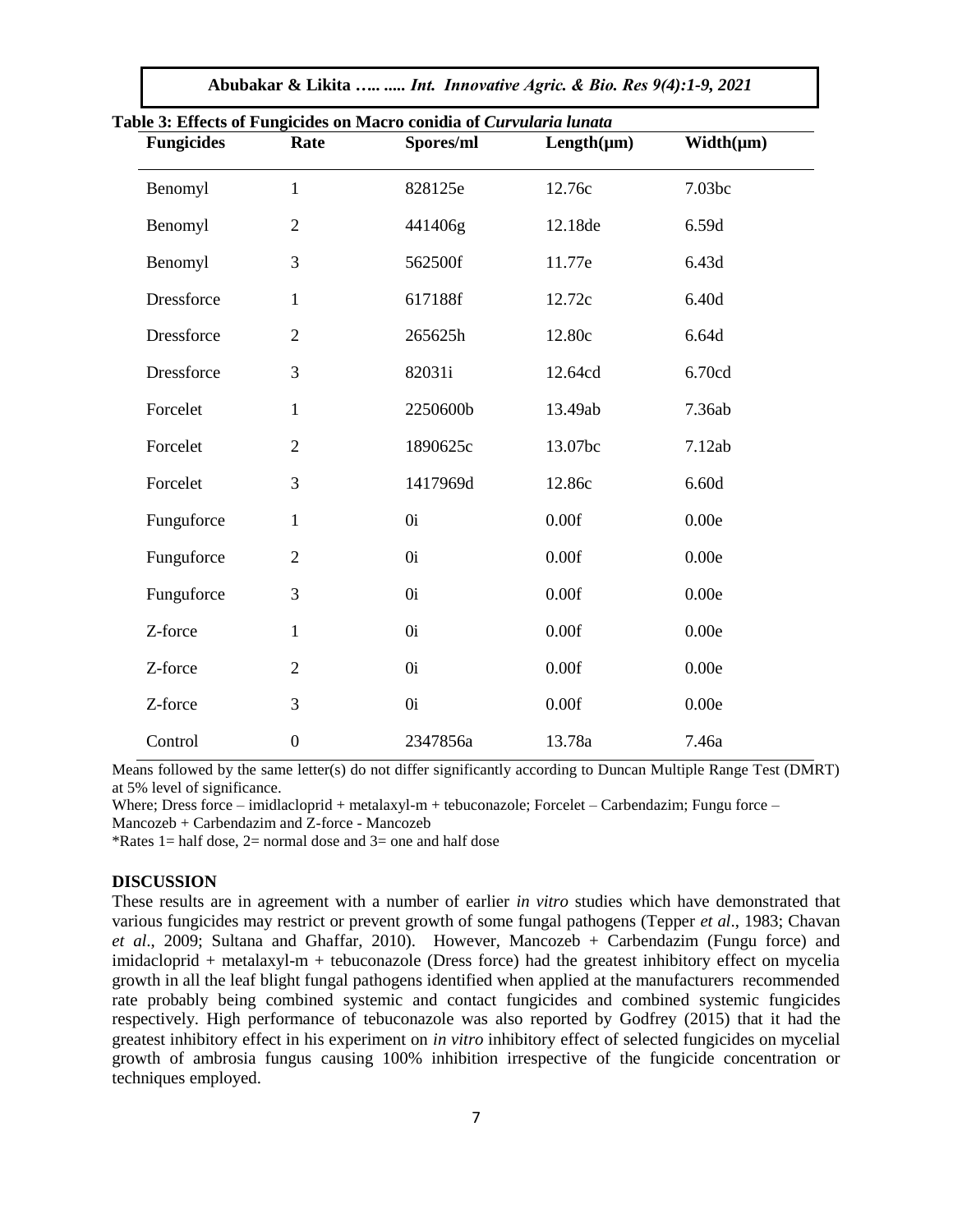| <b>Fungicides</b> | Rate             | Spores/ml | $Length(\mu m)$ | $Width(\mu m)$ |
|-------------------|------------------|-----------|-----------------|----------------|
| Benomyl           | $\mathbf{1}$     | 828125e   | 12.76c          | 7.03bc         |
| Benomyl           | $\overline{2}$   | 441406g   | 12.18de         | 6.59d          |
| Benomyl           | 3                | 562500f   | 11.77e          | 6.43d          |
| Dressforce        | $\mathbf{1}$     | 617188f   | 12.72c          | 6.40d          |
| Dressforce        | $\overline{2}$   | 265625h   | 12.80c          | 6.64d          |
| Dressforce        | 3                | 82031i    | 12.64cd         | 6.70cd         |
| Forcelet          | $\mathbf{1}$     | 2250600b  | 13.49ab         | 7.36ab         |
| Forcelet          | $\overline{2}$   | 1890625c  | 13.07bc         | 7.12ab         |
| Forcelet          | 3                | 1417969d  | 12.86c          | 6.60d          |
| Funguforce        | $\mathbf{1}$     | 0i        | 0.00f           | 0.00e          |
| Funguforce        | $\overline{2}$   | 0i        | 0.00f           | 0.00e          |
| Funguforce        | 3                | 0i        | 0.00f           | 0.00e          |
| Z-force           | $\mathbf{1}$     | 0i        | 0.00f           | 0.00e          |
| Z-force           | $\overline{2}$   | 0i        | 0.00f           | 0.00e          |
| Z-force           | 3                | 0i        | 0.00f           | 0.00e          |
| Control           | $\boldsymbol{0}$ | 2347856a  | 13.78a          | 7.46a          |

**Abubakar & Likita** *….. ..... Int. Innovative Agric. & Bio. Res 9(4):1-9, 2021*

Means followed by the same letter(s) do not differ significantly according to Duncan Multiple Range Test (DMRT) at 5% level of significance.

Where; Dress force – imidlacloprid + metalaxyl-m + tebuconazole; Forcelet – Carbendazim; Fungu force – Mancozeb + Carbendazim and Z-force - Mancozeb

\*Rates 1 = half dose, 2 = normal dose and  $3$  = one and half dose

#### **DISCUSSION**

These results are in agreement with a number of earlier *in vitro* studies which have demonstrated that various fungicides may restrict or prevent growth of some fungal pathogens (Tepper *et al*., 1983; Chavan *et al*., 2009; Sultana and Ghaffar, 2010). However, Mancozeb + Carbendazim (Fungu force) and imidacloprid + metalaxyl-m + tebuconazole (Dress force) had the greatest inhibitory effect on mycelia growth in all the leaf blight fungal pathogens identified when applied at the manufacturers recommended rate probably being combined systemic and contact fungicides and combined systemic fungicides respectively. High performance of tebuconazole was also reported by Godfrey (2015) that it had the greatest inhibitory effect in his experiment on *in vitro* inhibitory effect of selected fungicides on mycelial growth of ambrosia fungus causing 100% inhibition irrespective of the fungicide concentration or techniques employed.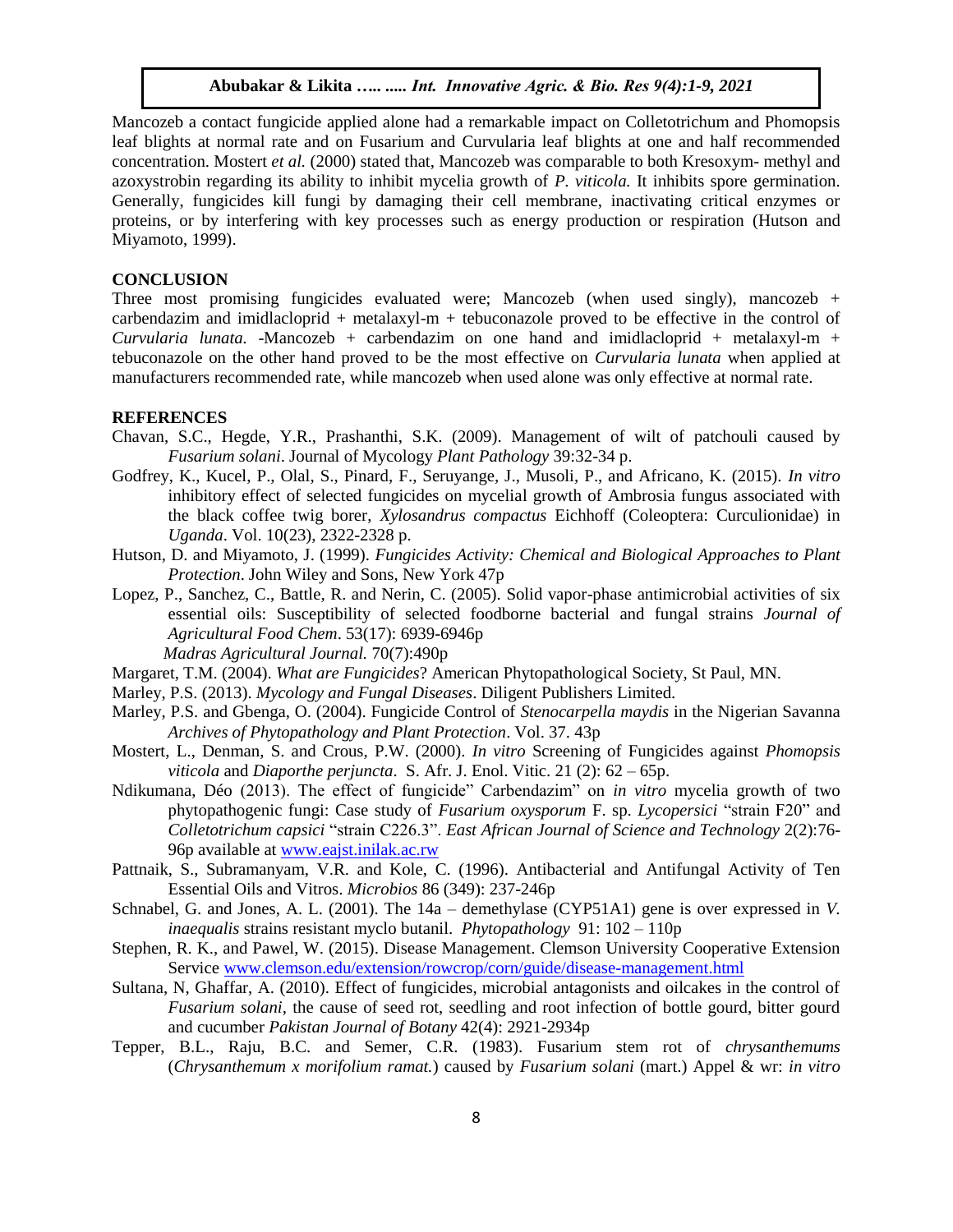Mancozeb a contact fungicide applied alone had a remarkable impact on Colletotrichum and Phomopsis leaf blights at normal rate and on Fusarium and Curvularia leaf blights at one and half recommended concentration. Mostert *et al.* (2000) stated that, Mancozeb was comparable to both Kresoxym- methyl and azoxystrobin regarding its ability to inhibit mycelia growth of *P. viticola.* It inhibits spore germination. Generally, fungicides kill fungi by damaging their cell membrane, inactivating critical enzymes or proteins, or by interfering with key processes such as energy production or respiration (Hutson and Miyamoto, 1999).

#### **CONCLUSION**

Three most promising fungicides evaluated were; Mancozeb (when used singly), mancozeb + carbendazim and imidlacloprid  $+$  metalaxyl-m  $+$  tebuconazole proved to be effective in the control of *Curvularia lunata.* -Mancozeb + carbendazim on one hand and imidlacloprid + metalaxyl-m + tebuconazole on the other hand proved to be the most effective on *Curvularia lunata* when applied at manufacturers recommended rate, while mancozeb when used alone was only effective at normal rate.

#### **REFERENCES**

- Chavan, S.C., Hegde, Y.R., Prashanthi, S.K. (2009). Management of wilt of patchouli caused by *Fusarium solani*. Journal of Mycology *Plant Pathology* 39:32-34 p.
- Godfrey, K., Kucel, P., Olal, S., Pinard, F., Seruyange, J., Musoli, P., and Africano, K. (2015). *In vitro* inhibitory effect of selected fungicides on mycelial growth of Ambrosia fungus associated with the black coffee twig borer, *Xylosandrus compactus* Eichhoff (Coleoptera: Curculionidae) in *Uganda*. Vol. 10(23), 2322-2328 p.
- Hutson, D. and Miyamoto, J. (1999). *Fungicides Activity: Chemical and Biological Approaches to Plant Protection*. John Wiley and Sons, New York 47p
- Lopez, P., Sanchez, C., Battle, R. and Nerin, C. (2005). Solid vapor-phase antimicrobial activities of six essential oils: Susceptibility of selected foodborne bacterial and fungal strains *Journal of Agricultural Food Chem*. 53(17): 6939-6946p *Madras Agricultural Journal.* 70(7):490p

Margaret, T.M. (2004). *What are Fungicides*? American Phytopathological Society, St Paul, MN.

- Marley, P.S. (2013). *Mycology and Fungal Diseases*. Diligent Publishers Limited.
- Marley, P.S. and Gbenga, O. (2004). Fungicide Control of *Stenocarpella maydis* in the Nigerian Savanna *Archives of Phytopathology and Plant Protection*. Vol. 37. 43p
- Mostert, L., Denman, S. and Crous, P.W. (2000). *In vitro* Screening of Fungicides against *Phomopsis viticola* and *Diaporthe perjuncta*. S. Afr. J. Enol. Vitic. 21 (2): 62 – 65p.
- Ndikumana, Déo (2013). The effect of fungicide" Carbendazim" on *in vitro* mycelia growth of two phytopathogenic fungi: Case study of *Fusarium oxysporum* F. sp. *Lycopersici* "strain F20" and *Colletotrichum capsici* "strain C226.3". *East African Journal of Science and Technology* 2(2):76- 96p available at [www.eajst.inilak.ac.rw](http://www.eajst.inilak.ac.rw/)
- Pattnaik, S., Subramanyam, V.R. and Kole, C. (1996). Antibacterial and Antifungal Activity of Ten Essential Oils and Vitros. *Microbios* 86 (349): 237-246p
- Schnabel, G. and Jones, A. L. (2001). The 14a demethylase (CYP51A1) gene is over expressed in *V. inaequalis* strains resistant myclo butanil. *Phytopathology* 91: 102 – 110p
- Stephen, R. K., and Pawel, W. (2015). Disease Management. Clemson University Cooperative Extension Servic[e www.clemson.edu/extension/rowcrop/corn/guide/disease-management.html](http://www.clemson.edu/extension/rowcrop/corn/guide/disease-management.html)
- Sultana, N, Ghaffar, A. (2010). Effect of fungicides, microbial antagonists and oilcakes in the control of *Fusarium solani*, the cause of seed rot, seedling and root infection of bottle gourd, bitter gourd and cucumber *Pakistan Journal of Botany* 42(4): 2921-2934p
- Tepper, B.L., Raju, B.C. and Semer, C.R. (1983). Fusarium stem rot of *chrysanthemums* (*Chrysanthemum x morifolium ramat.*) caused by *Fusarium solani* (mart.) Appel & wr: *in vitro*